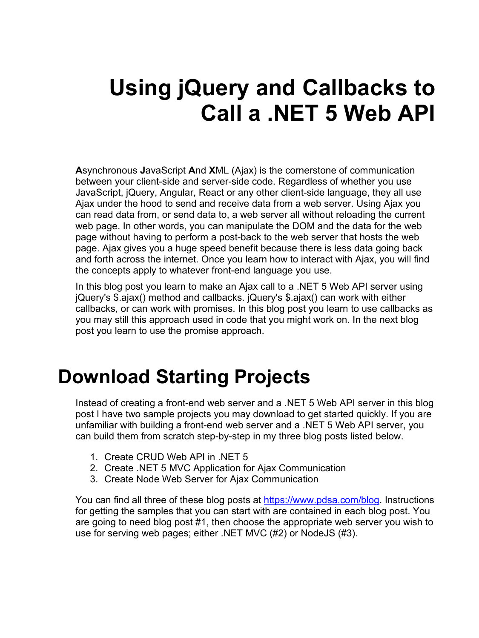# **Using jQuery and Callbacks to Call a .NET 5 Web API**

**A**synchronous **J**avaScript **A**nd **X**ML (Ajax) is the cornerstone of communication between your client-side and server-side code. Regardless of whether you use JavaScript, jQuery, Angular, React or any other client-side language, they all use Ajax under the hood to send and receive data from a web server. Using Ajax you can read data from, or send data to, a web server all without reloading the current web page. In other words, you can manipulate the DOM and the data for the web page without having to perform a post-back to the web server that hosts the web page. Ajax gives you a huge speed benefit because there is less data going back and forth across the internet. Once you learn how to interact with Ajax, you will find the concepts apply to whatever front-end language you use.

In this blog post you learn to make an Ajax call to a .NET 5 Web API server using jQuery's \$.ajax() method and callbacks. jQuery's \$.ajax() can work with either callbacks, or can work with promises. In this blog post you learn to use callbacks as you may still this approach used in code that you might work on. In the next blog post you learn to use the promise approach.

## **Download Starting Projects**

Instead of creating a front-end web server and a .NET 5 Web API server in this blog post I have two sample projects you may download to get started quickly. If you are unfamiliar with building a front-end web server and a .NET 5 Web API server, you can build them from scratch step-by-step in my three blog posts listed below.

- 1. Create CRUD Web API in .NET 5
- 2. Create .NET 5 MVC Application for Ajax Communication
- 3. Create Node Web Server for Ajax Communication

You can find all three of these blog posts at [https://www.pdsa.com/blog.](https://www.pdsa.com/blog) Instructions for getting the samples that you can start with are contained in each blog post. You are going to need blog post #1, then choose the appropriate web server you wish to use for serving web pages; either .NET MVC (#2) or NodeJS (#3).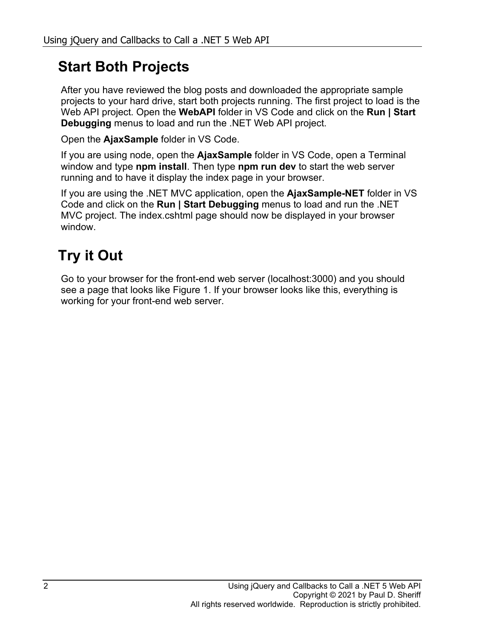#### **Start Both Projects**

After you have reviewed the blog posts and downloaded the appropriate sample projects to your hard drive, start both projects running. The first project to load is the Web API project. Open the **WebAPI** folder in VS Code and click on the **Run | Start Debugging** menus to load and run the .NET Web API project.

Open the **AjaxSample** folder in VS Code.

If you are using node, open the **AjaxSample** folder in VS Code, open a Terminal window and type **npm install**. Then type **npm run dev** to start the web server running and to have it display the index page in your browser.

If you are using the .NET MVC application, open the **AjaxSample-NET** folder in VS Code and click on the **Run | Start Debugging** menus to load and run the .NET MVC project. The index.cshtml page should now be displayed in your browser window.

### **Try it Out**

Go to your browser for the front-end web server (localhost:3000) and you should see a page that looks like [Figure 1.](#page-2-0) If your browser looks like this, everything is working for your front-end web server.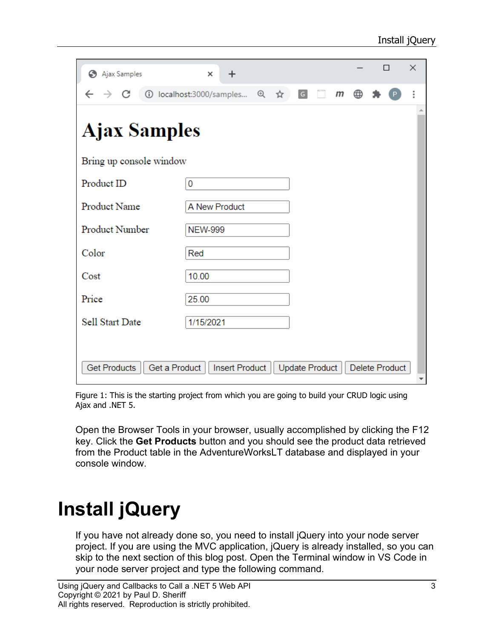| Ajax Samples                         | $\times$<br>$\ddot{}$    |     |                | $\Box$ |                | $\times$ |   |
|--------------------------------------|--------------------------|-----|----------------|--------|----------------|----------|---|
| C<br>$\rightarrow$                   | 1 localhost:3000/samples | @ ☆ | G              | m      | ⊕              |          | i |
| <b>Ajax Samples</b>                  |                          |     |                |        |                |          |   |
| Bring up console window              |                          |     |                |        |                |          |   |
| Product ID                           | 0                        |     |                |        |                |          |   |
| Product Name                         | A New Product            |     |                |        |                |          |   |
| Product Number                       | <b>NEW-999</b>           |     |                |        |                |          |   |
| Color                                | Red                      |     |                |        |                |          |   |
| Cost                                 | 10.00                    |     |                |        |                |          |   |
| Price                                | 25.00                    |     |                |        |                |          |   |
| <b>Sell Start Date</b>               | 1/15/2021                |     |                |        |                |          |   |
|                                      |                          |     |                |        |                |          |   |
| Get a Product<br><b>Get Products</b> | Insert Product           |     | Update Product |        | Delete Product |          |   |

<span id="page-2-0"></span>Figure 1: This is the starting project from which you are going to build your CRUD logic using Ajax and .NET 5.

Open the Browser Tools in your browser, usually accomplished by clicking the F12 key. Click the **Get Products** button and you should see the product data retrieved from the Product table in the AdventureWorksLT database and displayed in your console window.

# **Install jQuery**

If you have not already done so, you need to install jQuery into your node server project. If you are using the MVC application, jQuery is already installed, so you can skip to the next section of this blog post. Open the Terminal window in VS Code in your node server project and type the following command.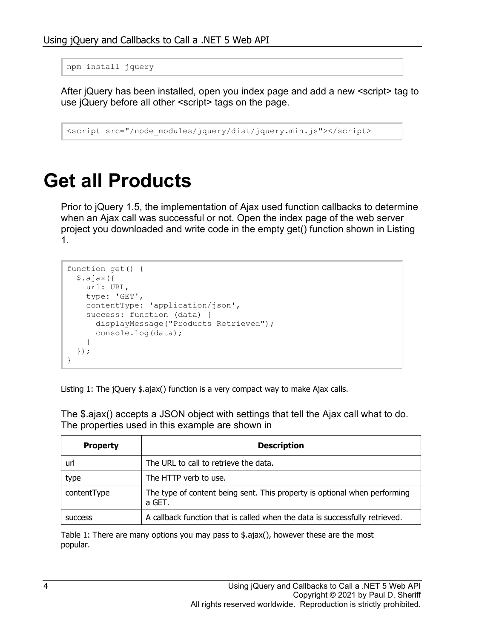```
npm install jquery
```
After jQuery has been installed, open you index page and add a new <script> tag to use jQuery before all other <script> tags on the page.

```
<script src="/node_modules/jquery/dist/jquery.min.js"></script>
```
### **Get all Products**

Prior to jQuery 1.5, the implementation of Ajax used function callbacks to determine when an Ajax call was successful or not. Open the index page of the web server project you downloaded and write code in the empty get() function shown in [Listing](#page-3-0)  [1.](#page-3-0)

```
function get() {
  $.ajax({
    url: URL,
    type: 'GET',
    contentType: 'application/json',
    success: function (data) {
      displayMessage("Products Retrieved");
       console.log(data);
     }
   });
}
```
<span id="page-3-0"></span>Listing 1: The jQuery \$.ajax() function is a very compact way to make Ajax calls.

| <b>Property</b> | <b>Description</b>                                                                  |
|-----------------|-------------------------------------------------------------------------------------|
| url             | The URL to call to retrieve the data.                                               |
| type            | The HTTP verb to use.                                                               |
| contentType     | The type of content being sent. This property is optional when performing<br>a GET. |
| <b>SUCCESS</b>  | A callback function that is called when the data is successfully retrieved.         |

The \$.ajax() accepts a JSON object with settings that tell the Ajax call what to do. The properties used in this example are shown in

Table 1: There are many options you may pass to  $\frac{1}{2}$ , and  $\frac{1}{2}$ , however these are the most popular.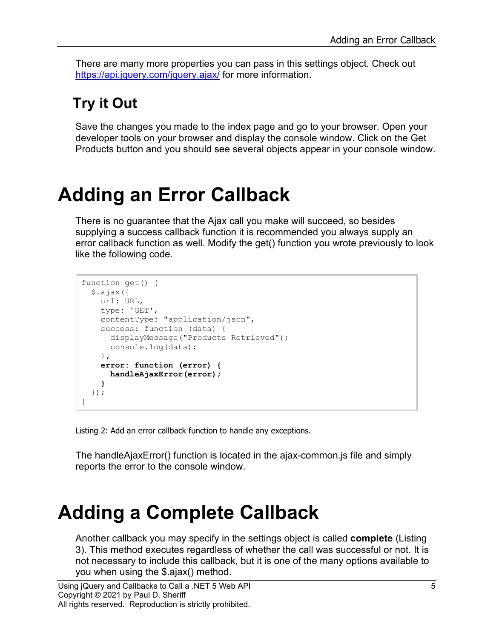There are many more properties you can pass in this settings object. Check out <https://api.jquery.com/jquery.ajax/> for more information.

#### **Try it Out**

Save the changes you made to the index page and go to your browser. Open your developer tools on your browser and display the console window. Click on the Get Products button and you should see several objects appear in your console window.

### **Adding an Error Callback**

There is no guarantee that the Ajax call you make will succeed, so besides supplying a success callback function it is recommended you always supply an error callback function as well. Modify the get() function you wrote previously to look like the following code.

```
function get() {
   $.ajax({
    url: URL,
     type: 'GET',
     contentType: "application/json",
     success: function (data) {
       displayMessage("Products Retrieved");
       console.log(data);
     },
     error: function (error) {
       handleAjaxError(error);
     }
   });
}
```
Listing 2: Add an error callback function to handle any exceptions.

The handleAjaxError() function is located in the ajax-common.js file and simply reports the error to the console window.

### **Adding a Complete Callback**

Another callback you may specify in the settings object is called **complete** [\(Listing](#page-5-0)  [3\)](#page-5-0). This method executes regardless of whether the call was successful or not. It is not necessary to include this callback, but it is one of the many options available to you when using the \$.ajax() method.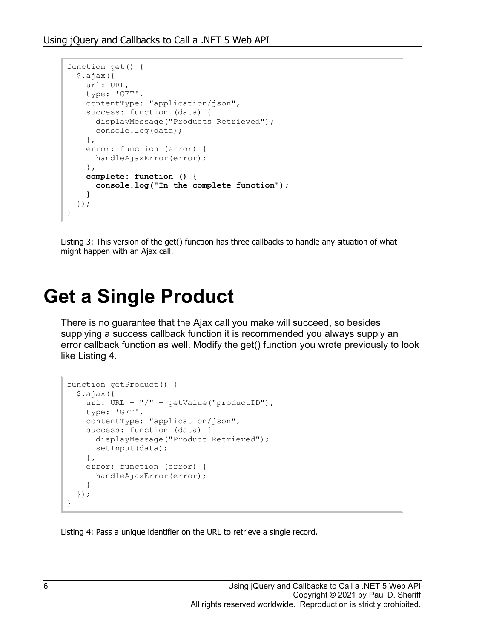```
function get() {
  $.ajax({
    url: URL,
    type: 'GET',
    contentType: "application/json",
    success: function (data) {
      displayMessage("Products Retrieved");
      console.log(data);
     },
    error: function (error) {
     handleAjaxError(error);
     },
    complete: function () {
       console.log("In the complete function");
     }
  });
}
```
<span id="page-5-0"></span>Listing 3: This version of the get() function has three callbacks to handle any situation of what might happen with an Ajax call.

### **Get a Single Product**

There is no guarantee that the Ajax call you make will succeed, so besides supplying a success callback function it is recommended you always supply an error callback function as well. Modify the get() function you wrote previously to look like [Listing 4.](#page-5-1)

```
function getProduct() {
   $.ajax({
   url: URL + "/" + getValue("productID"),
     type: 'GET',
    contentType: "application/json",
    success: function (data) {
       displayMessage("Product Retrieved");
     setInput(data);
     },
     error: function (error) {
       handleAjaxError(error);
     }
   });
}
```
<span id="page-5-1"></span>Listing 4: Pass a unique identifier on the URL to retrieve a single record.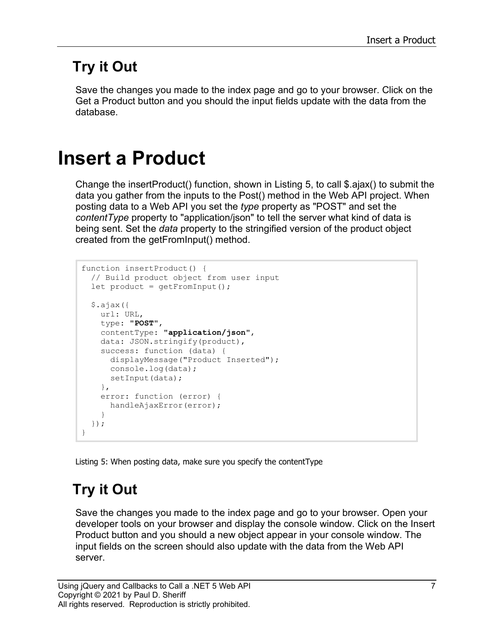#### **Try it Out**

Save the changes you made to the index page and go to your browser. Click on the Get a Product button and you should the input fields update with the data from the database.

## **Insert a Product**

Change the insertProduct() function, shown in [Listing 5,](#page-6-0) to call \$.ajax() to submit the data you gather from the inputs to the Post() method in the Web API project. When posting data to a Web API you set the *type* property as "POST" and set the *contentType* property to "application/json" to tell the server what kind of data is being sent. Set the *data* property to the stringified version of the product object created from the getFromInput() method.

```
function insertProduct() {
   // Build product object from user input
   let product = getFromInput();
   $.ajax({
    url: URL,
     type: "POST",
     contentType: "application/json",
     data: JSON.stringify(product),
     success: function (data) {
      displayMessage("Product Inserted");
      console.log(data);
     setInput(data);
     },
     error: function (error) {
       handleAjaxError(error);
     }
   });
}
```
<span id="page-6-0"></span>Listing 5: When posting data, make sure you specify the contentType

### **Try it Out**

Save the changes you made to the index page and go to your browser. Open your developer tools on your browser and display the console window. Click on the Insert Product button and you should a new object appear in your console window. The input fields on the screen should also update with the data from the Web API server.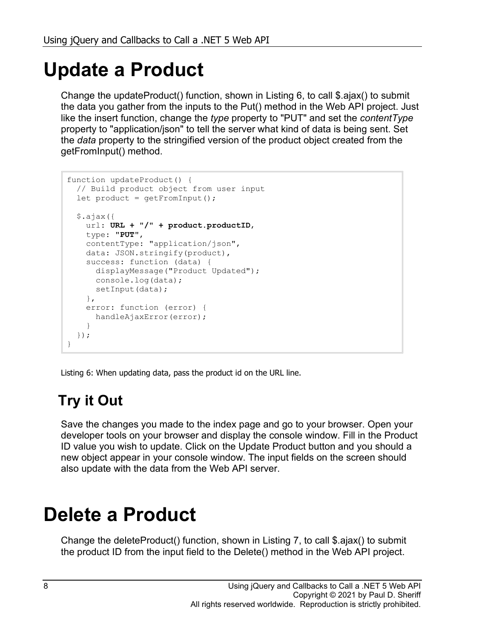## **Update a Product**

Change the updateProduct() function, shown in [Listing 6,](#page-7-0) to call \$.ajax() to submit the data you gather from the inputs to the Put() method in the Web API project. Just like the insert function, change the *type* property to "PUT" and set the *contentType* property to "application/json" to tell the server what kind of data is being sent. Set the *data* property to the stringified version of the product object created from the getFromInput() method.

```
function updateProduct() {
  // Build product object from user input
  let product = getFromInput();
  $.ajax({
    url: URL + "/" + product.productID,
    type: "PUT",
    contentType: "application/json",
   data: JSON.stringify(product),
    success: function (data) {
      displayMessage("Product Updated");
      console.log(data);
     setInput(data);
    },
    error: function (error) {
    handleAjaxError(error);
    }
  });
}
```
<span id="page-7-0"></span>Listing 6: When updating data, pass the product id on the URL line.

### **Try it Out**

Save the changes you made to the index page and go to your browser. Open your developer tools on your browser and display the console window. Fill in the Product ID value you wish to update. Click on the Update Product button and you should a new object appear in your console window. The input fields on the screen should also update with the data from the Web API server.

## **Delete a Product**

Change the deleteProduct() function, shown in [Listing 7,](#page-8-0) to call \$.ajax() to submit the product ID from the input field to the Delete() method in the Web API project.